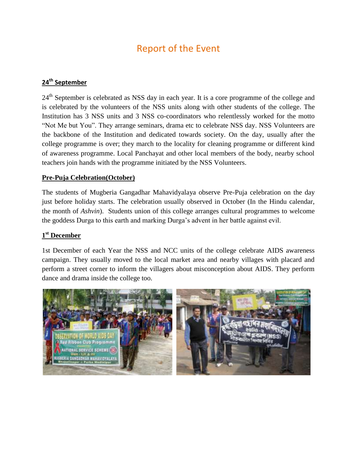# Report of the Event

#### **24th September**

24<sup>th</sup> September is celebrated as NSS day in each year. It is a core programme of the college and is celebrated by the volunteers of the NSS units along with other students of the college. The Institution has 3 NSS units and 3 NSS co-coordinators who relentlessly worked for the motto "Not Me but You". They arrange seminars, drama etc to celebrate NSS day. NSS Volunteers are the backbone of the Institution and dedicated towards society. On the day, usually after the college programme is over; they march to the locality for cleaning programme or different kind of awareness programme. Local Panchayat and other local members of the body, nearby school teachers join hands with the programme initiated by the NSS Volunteers.

#### **Pre-Puja Celebration(October)**

The students of Mugberia Gangadhar Mahavidyalaya observe Pre-Puja celebration on the day just before holiday starts. The celebration usually observed in October (In the Hindu calendar, the month of *Ashvin*). Students union of this college arranges cultural programmes to welcome the goddess Durga to this earth and marking Durga"s advent in her battle against evil.

### **1 st December**

1st December of each Year the NSS and NCC units of the college celebrate AIDS awareness campaign. They usually moved to the local market area and nearby villages with placard and perform a street corner to inform the villagers about misconception about AIDS. They perform dance and drama inside the college too.

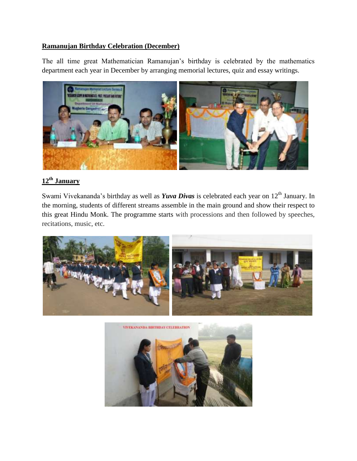#### **Ramanujan Birthday Celebration (December)**

The all time great Mathematician Ramanujan"s birthday is celebrated by the mathematics department each year in December by arranging memorial lectures, quiz and essay writings.



# **12th January**

Swami Vivekananda's birthday as well as *Yuva Divas* is celebrated each year on 12<sup>th</sup> January. In the morning, students of different streams assemble in the main ground and show their respect to this great Hindu Monk. The programme starts with processions and then followed by speeches, recitations, music, etc.



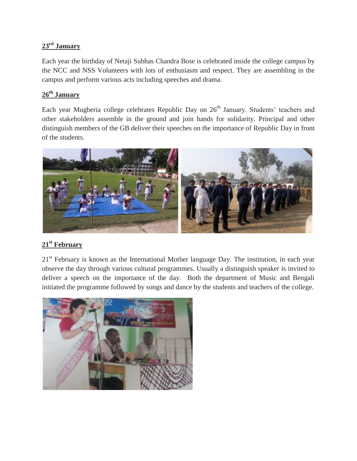# **23rd January**

Each year the birthday of Netaji Subhas Chandra Bose is celebrated inside the college campus by the NCC and NSS Volunteers with lots of enthusiasm and respect. They are assembling in the campus and perform various acts including speeches and drama.

# **26th January**

Each year Mugberia college celebrates Republic Day on 26<sup>th</sup> January. Students' teachers and other stakeholders assemble in the ground and join hands for solidarity. Principal and other distinguish members of the GB deliver their speeches on the importance of Republic Day in front of the students.



## **21st February**

 $21<sup>st</sup>$  February is known as the International Mother language Day. The institution, in each year observe the day through various cultural programmes. Usually a distinguish speaker is invited to deliver a speech on the importance of the day. Both the department of Music and Bengali initiated the programme followed by songs and dance by the students and teachers of the college.

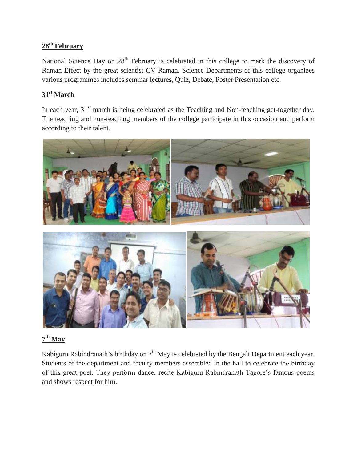# **28th February**

National Science Day on 28<sup>th</sup> February is celebrated in this college to mark the discovery of Raman Effect by the great scientist CV Raman. Science Departments of this college organizes various programmes includes seminar lectures, Quiz, Debate, Poster Presentation etc.

## **31st March**

In each year,  $31<sup>st</sup>$  march is being celebrated as the Teaching and Non-teaching get-together day. The teaching and non-teaching members of the college participate in this occasion and perform according to their talent.



# **7 th May**

Kabiguru Rabindranath's birthday on  $7<sup>th</sup>$  May is celebrated by the Bengali Department each year. Students of the department and faculty members assembled in the hall to celebrate the birthday of this great poet. They perform dance, recite Kabiguru Rabindranath Tagore"s famous poems and shows respect for him.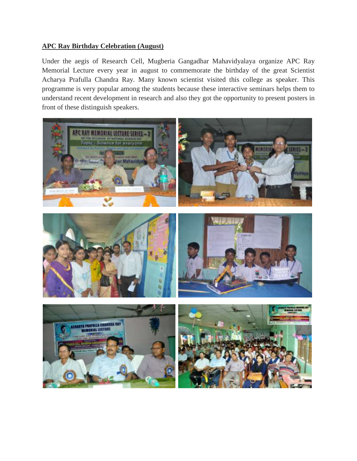#### **APC Ray Birthday Celebration (August)**

Under the aegis of Research Cell, Mugberia Gangadhar Mahavidyalaya organize APC Ray Memorial Lecture every year in august to commemorate the birthday of the great Scientist Acharya Prafulla Chandra Ray. Many known scientist visited this college as speaker. This programme is very popular among the students because these interactive seminars helps them to understand recent development in research and also they got the opportunity to present posters in front of these distinguish speakers.

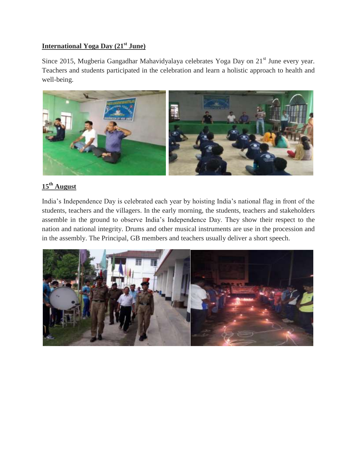# **International Yoga Day (21st June)**

Since 2015, Mugberia Gangadhar Mahavidyalaya celebrates Yoga Day on 21<sup>st</sup> June every year. Teachers and students participated in the celebration and learn a holistic approach to health and well-being.



# **15th August**

India"s Independence Day is celebrated each year by hoisting India"s national flag in front of the students, teachers and the villagers. In the early morning, the students, teachers and stakeholders assemble in the ground to observe India"s Independence Day. They show their respect to the nation and national integrity. Drums and other musical instruments are use in the procession and in the assembly. The Principal, GB members and teachers usually deliver a short speech.